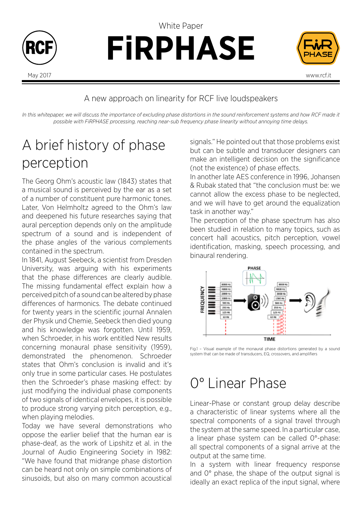

**FiRPHASE**





#### A new approach on linearity for RCF live loudspeakers

In this whitepaper, we will discuss the importance of excluding phase distortions in the sound reinforcement systems and how RCF made it *possible with FiRPHASE processing, reaching near-sub frequency phase linearity without annoying time delays.* 

# A brief history of phase perception

The Georg Ohm's acoustic law (1843) states that a musical sound is perceived by the ear as a set of a number of constituent pure harmonic tones. Later, Von Helmholtz agreed to the Ohm's law and deepened his future researches saying that aural perception depends only on the amplitude spectrum of a sound and is independent of the phase angles of the various complements contained in the spectrum.

In 1841, August Seebeck, a scientist from Dresden University, was arguing with his experiments that the phase differences are clearly audible. The missing fundamental effect explain how a perceived pitch of a sound can be altered by phase differences of harmonics. The debate continued for twenty years in the scientific journal Annalen der Physik und Chemie, Seebeck then died young and his knowledge was forgotten. Until 1959, when Schroeder, in his work entitled New results concerning monaural phase sensitivity (1959), demonstrated the phenomenon. Schroeder states that Ohm's conclusion is invalid and it's only true in some particular cases. He postulates then the Schroeder's phase masking effect: by just modifying the individual phase components of two signals of identical envelopes, it is possible to produce strong varying pitch perception, e.g., when playing melodies.

Today we have several demonstrations who oppose the earlier belief that the human ear is phase-deaf, as the work of Lipshitz et al. in the Journal of Audio Engineering Society in 1982: "We have found that midrange phase distortion can be heard not only on simple combinations of sinusoids, but also on many common acoustical

signals." He pointed out that those problems exist but can be subtle and transducer designers can make an intelligent decision on the significance (not the existence) of phase effects.

In another late AES conference in 1996, Johansen & Rubak stated that "the conclusion must be: we cannot allow the excess phase to be neglected, and we will have to get around the equalization task in another way."

The perception of the phase spectrum has also been studied in relation to many topics, such as concert hall acoustics, pitch perception, vowel identification, masking, speech processing, and binaural rendering.



Fig.1 – Visual example of the monaural phase distortions generated by a sound system that can be made of transducers, EQ, crossovers, and amplifiers

### 0° Linear Phase

Linear-Phase or constant group delay describe a characteristic of linear systems where all the spectral components of a signal travel through the system at the same speed. In a particular case, a linear phase system can be called 0°-phase: all spectral components of a signal arrive at the output at the same time.

In a system with linear frequency response and 0° phase, the shape of the output signal is ideally an exact replica of the input signal, where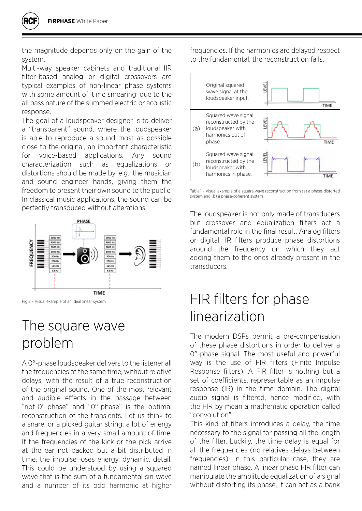the magnitude depends only on the gain of the system.

Multi-way speaker cabinets and traditional IIR filter-based analog or digital crossovers are typical examples of non-linear phase systems with some amount of 'time smearing' due to the all pass nature of the summed electric or acoustic response.

The goal of a loudspeaker designer is to deliver a "transparent" sound, where the loudspeaker is able to reproduce a sound most as possible close to the original, an important characteristic for voice-based applications. Any sound characterization such as equalizations or distortions should be made by, e.g., the musician and sound engineer hands, giving them the freedom to present their own sound to the public. In classical music applications, the sound can be perfectly transduced without alterations.



Fig.2 – Visual example of an ideal linear system

## The square wave problem

A 0°-phase loudspeaker delivers to the listener all the frequencies at the same time, without relative delays, with the result of a true reconstruction of the original sound. One of the most relevant and audible effects in the passage between "not-0°-phase" and "0°-phase" is the optimal reconstruction of the transients. Let us think to a snare, or a picked guitar string: a lot of energy and frequencies in a very small amount of time. If the frequencies of the kick or the pick arrive at the ear not packed but a bit distributed in time, the impulse loses energy, dynamic, detail. This could be understood by using a squared wave that is the sum of a fundamental sin wave and a number of its odd harmonic at higher frequencies. If the harmonics are delayed respect to the fundamental, the reconstruction fails.



Table.1 – Visual example of a square wave reconstruction from (a) a phase-distorted system and (b) a phase-coherent system

The loudspeaker is not only made of transducers but crossover and equalization filters act a fundamental role in the final result. Analog filters or digital IIR filters produce phase distortions around the frequency on which they act adding them to the ones already present in the transducers.

### FIR filters for phase linearization

The modern DSPs permit a pre-compensation of these phase distortions in order to deliver a 0°-phase signal. The most useful and powerful way is the use of FIR filters (Finite Impulse Response filters). A FIR filter is nothing but a set of coefficients, representable as an impulse response (IR) in the time domain. The digital audio signal is filtered, hence modified, with the FIR by mean a mathematic operation called "convolution".

This kind of filters introduces a delay, the time necessary to the signal for passing all the length of the filter. Luckily, the time delay is equal for all the frequencies (no relatives delays between frequencies): in this particular case, they are named linear phase. A linear phase FIR filter can manipulate the amplitude equalization of a signal without distorting its phase, it can act as a bank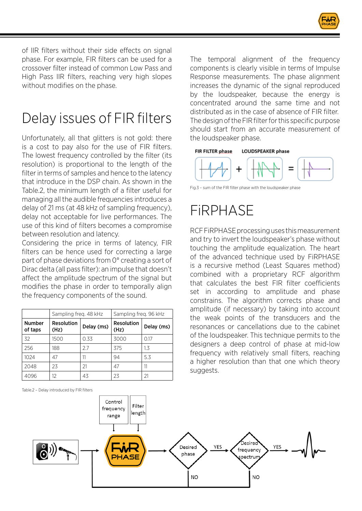

of IIR filters without their side effects on signal phase. For example, FIR filters can be used for a crossover filter instead of common Low Pass and High Pass IIR filters, reaching very high slopes without modifies on the phase.

# Delay issues of FIR filters

Unfortunately, all that glitters is not gold: there is a cost to pay also for the use of FIR filters. The lowest frequency controlled by the filter (its resolution) is proportional to the length of the filter in terms of samples and hence to the latency that introduce in the DSP chain. As shown in the Table.2, the minimum length of a filter useful for managing all the audible frequencies introduces a delay of 21 ms (at 48 kHz of sampling frequency), delay not acceptable for live performances. The use of this kind of filters becomes a compromise between resolution and latency.

Considering the price in terms of latency, FIR filters can be hence used for correcting a large part of phase deviations from 0° creating a sort of Dirac delta (all pass filter): an impulse that doesn't affect the amplitude spectrum of the signal but modifies the phase in order to temporally align the frequency components of the sound.

|                          | Sampling freq. 48 kHz     |            | Sampling freq. 96 kHz     |            |
|--------------------------|---------------------------|------------|---------------------------|------------|
| <b>Number</b><br>of taps | <b>Resolution</b><br>(Hz) | Delay (ms) | <b>Resolution</b><br>(Hz) | Delay (ms) |
| 32                       | 1500                      | 0.33       | 3000                      | 0.17       |
| 256                      | 188                       | 27         | 375                       | 1.3        |
| 1024                     | 47                        | 11         | 94                        | 5.3        |
| 2048                     | 23                        | 21         | 47                        | 11         |
| 4096                     | 12                        | 43         | 23                        |            |

Table.2 – Delay introduced by FIR filters

The temporal alignment of the frequency components is clearly visible in terms of Impulse Response measurements. The phase alignment increases the dynamic of the signal reproduced by the loudspeaker, because the energy is concentrated around the same time and not distributed as in the case of absence of FIR filter. The design of the FIR filter for this specific purpose should start from an accurate measurement of the loudspeaker phase.



Fig.3 – sum of the FIR filter phase with the loudspeaker phase

## FiRPHASE

RCF FiRPHASE processing uses this measurement and try to invert the loudspeaker's phase without touching the amplitude equalization. The heart of the advanced technique used by FiRPHASE is a recursive method (Least Squares method) combined with a proprietary RCF algorithm that calculates the best FIR filter coefficients set in according to amplitude and phase constrains. The algorithm corrects phase and amplitude (if necessary) by taking into account the weak points of the transducers and the resonances or cancellations due to the cabinet of the loudspeaker. This technique permits to the designers a deep control of phase at mid-low frequency with relatively small filters, reaching a higher resolution than that one which theory suggests.